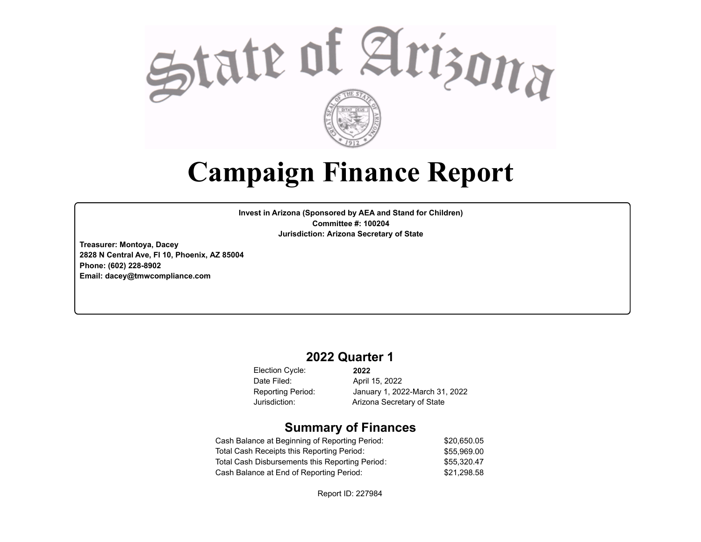

# **Campaign Finance Report**

**Invest in Arizona (Sponsored by AEA and Stand for Children) Committee #: 100204 Jurisdiction: Arizona Secretary of State**

**Treasurer: Montoya, Dacey 2828 N Central Ave, Fl 10, Phoenix, AZ 85004 Phone: (602) 228-8902 Email: dacey@tmwcompliance.com**

## **2022 Quarter 1**

Election Cycle: Date Filed:

**2022** April 15, 2022 Reporting Period: January 1, 2022-March 31, 2022 Jurisdiction: Arizona Secretary of State

### **Summary of Finances**

| Cash Balance at Beginning of Reporting Period:  | \$20,650.05 |
|-------------------------------------------------|-------------|
| Total Cash Receipts this Reporting Period:      | \$55.969.00 |
| Total Cash Disbursements this Reporting Period: | \$55.320.47 |
| Cash Balance at End of Reporting Period:        | \$21.298.58 |

Report ID: 227984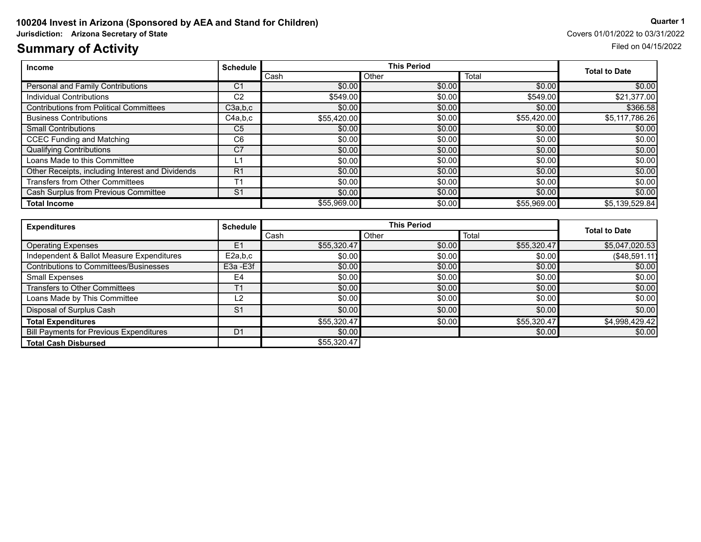# **Summary of Activity** Filed on 04/15/2022

| Income                                           | <b>Schedule</b> |             | <b>This Period</b> |             |                |
|--------------------------------------------------|-----------------|-------------|--------------------|-------------|----------------|
|                                                  |                 | l Cash      | Total<br>Other     |             |                |
| Personal and Family Contributions                | C <sub>1</sub>  | \$0.00      | \$0.00             | \$0.00      | \$0.00         |
| Individual Contributions                         | C <sub>2</sub>  | \$549.00    | \$0.00             | \$549.00    | \$21,377.00    |
| <b>Contributions from Political Committees</b>   | C3a,b,c         | \$0.00]     | \$0.00             | \$0.00      | \$366.58       |
| <b>Business Contributions</b>                    | C4a,b,c         | \$55,420,00 | \$0.00             | \$55,420.00 | \$5,117,786.26 |
| <b>Small Contributions</b>                       | C <sub>5</sub>  | \$0.00      | \$0.00             | \$0.00      | \$0.00         |
| <b>CCEC Funding and Matching</b>                 | C <sub>6</sub>  | \$0.00]     | \$0.00             | \$0.00      | \$0.00         |
| <b>Qualifying Contributions</b>                  | C7              | \$0.00]     | \$0.00             | \$0.00      | \$0.00]        |
| Loans Made to this Committee                     |                 | \$0.00]     | \$0.00             | \$0.00      | \$0.00         |
| Other Receipts, including Interest and Dividends | R <sub>1</sub>  | \$0.00      | \$0.00             | \$0.00      | \$0.00         |
| <b>Transfers from Other Committees</b>           | T <sub>1</sub>  | \$0.00]     | \$0.00             | \$0.00      | \$0.00]        |
| Cash Surplus from Previous Committee             | S <sub>1</sub>  | \$0.00      | \$0.00             | \$0.00      | \$0.00         |
| <b>Total Income</b>                              |                 | \$55,969.00 | \$0.00             | \$55,969.00 | \$5,139,529.84 |

| <b>Expenditures</b>                            | <b>Schedule</b> |             | <b>This Period</b> |             |                      |
|------------------------------------------------|-----------------|-------------|--------------------|-------------|----------------------|
|                                                |                 | Cash        | Other              | Total       | <b>Total to Date</b> |
| <b>Operating Expenses</b>                      | Ε1              | \$55,320.47 | \$0.00             | \$55,320.47 | \$5,047,020.53       |
| Independent & Ballot Measure Expenditures      | E2a,b,c         | \$0.00      | \$0.00             | \$0.00      | (\$48,591.11)        |
| <b>Contributions to Committees/Businesses</b>  | E3a -E3f        | \$0.00      | \$0.00             | \$0.00      | \$0.00               |
| Small Expenses                                 | E <sub>4</sub>  | \$0.00]     | \$0.00             | \$0.00      | \$0.00               |
| <b>Transfers to Other Committees</b>           | T <sub>1</sub>  | \$0.00      | \$0.00             | \$0.00      | \$0.00               |
| Loans Made by This Committee                   | -2              | \$0.00]     | \$0.00             | \$0.00      | \$0.00               |
| Disposal of Surplus Cash                       | S <sub>1</sub>  | \$0.00      | \$0.00             | \$0.00      | \$0.00               |
| <b>Total Expenditures</b>                      |                 | \$55,320.47 | \$0.00             | \$55,320.47 | \$4,998,429.42       |
| <b>Bill Payments for Previous Expenditures</b> | D <sub>1</sub>  | \$0.00      |                    | \$0.00      | \$0.00               |
| <b>Total Cash Disbursed</b>                    |                 | \$55,320.47 |                    |             |                      |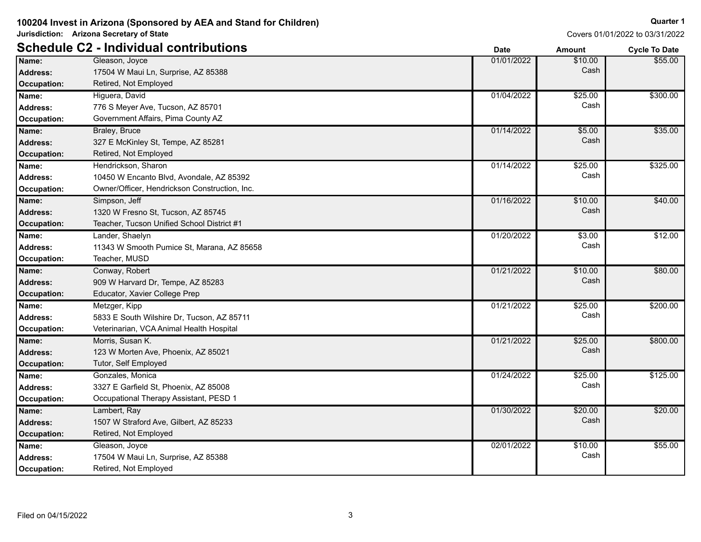Covers 01/01/2022 to 03/31/2022

**Quarter 1**

\$55.00

|                    | <b>Schedule C2 - Individual contributions</b> | <b>Date</b> | <b>Amount</b> | <b>Cycle To Date</b> |
|--------------------|-----------------------------------------------|-------------|---------------|----------------------|
| Name:              | Gleason, Joyce                                | 01/01/2022  | \$10.00       | \$55.00              |
| <b>Address:</b>    | 17504 W Maui Ln, Surprise, AZ 85388           |             | Cash          |                      |
| <b>Occupation:</b> | Retired, Not Employed                         |             |               |                      |
| Name:              | Higuera, David                                | 01/04/2022  | \$25.00       | \$300.00             |
| <b>Address:</b>    | 776 S Meyer Ave, Tucson, AZ 85701             |             | Cash          |                      |
| <b>Occupation:</b> | Government Affairs, Pima County AZ            |             |               |                      |
| Name:              | Braley, Bruce                                 | 01/14/2022  | \$5.00        | \$35.00              |
| <b>Address:</b>    | 327 E McKinley St, Tempe, AZ 85281            |             | Cash          |                      |
| <b>Occupation:</b> | Retired, Not Employed                         |             |               |                      |
| Name:              | Hendrickson, Sharon                           | 01/14/2022  | \$25.00       | \$325.00             |
| <b>Address:</b>    | 10450 W Encanto Blvd, Avondale, AZ 85392      |             | Cash          |                      |
| <b>Occupation:</b> | Owner/Officer, Hendrickson Construction, Inc. |             |               |                      |
| Name:              | Simpson, Jeff                                 | 01/16/2022  | \$10.00       | \$40.00              |
| <b>Address:</b>    | 1320 W Fresno St, Tucson, AZ 85745            |             | Cash          |                      |
| <b>Occupation:</b> | Teacher, Tucson Unified School District #1    |             |               |                      |
| Name:              | Lander, Shaelyn                               | 01/20/2022  | \$3.00        | \$12.00              |
| <b>Address:</b>    | 11343 W Smooth Pumice St, Marana, AZ 85658    |             | Cash          |                      |
| <b>Occupation:</b> | Teacher, MUSD                                 |             |               |                      |
| Name:              | Conway, Robert                                | 01/21/2022  | \$10.00       | \$80.00              |
| <b>Address:</b>    | 909 W Harvard Dr, Tempe, AZ 85283             |             | Cash          |                      |
| <b>Occupation:</b> | Educator, Xavier College Prep                 |             |               |                      |
| Name:              | Metzger, Kipp                                 | 01/21/2022  | \$25.00       | \$200.00             |
| <b>Address:</b>    | 5833 E South Wilshire Dr, Tucson, AZ 85711    |             | Cash          |                      |
| <b>Occupation:</b> | Veterinarian, VCA Animal Health Hospital      |             |               |                      |
| Name:              | Morris, Susan K.                              | 01/21/2022  | \$25.00       | \$800.00             |
| <b>Address:</b>    | 123 W Morten Ave, Phoenix, AZ 85021           |             | Cash          |                      |
| <b>Occupation:</b> | Tutor, Self Employed                          |             |               |                      |
| Name:              | Gonzales, Monica                              | 01/24/2022  | \$25.00       | \$125.00             |
| <b>Address:</b>    | 3327 E Garfield St, Phoenix, AZ 85008         |             | Cash          |                      |
| <b>Occupation:</b> | Occupational Therapy Assistant, PESD 1        |             |               |                      |
| Name:              | Lambert, Ray                                  | 01/30/2022  | \$20.00       | \$20.00              |

**Occupation:** Retired, Not Employed

**Occupation:** Retired, Not Employed

Gleason, Joyce

1507 W Straford Ave, Gilbert, AZ 85233 **Address:** Cash

17504 W Maui Ln, Surprise, AZ 85388 **Address:** Cash **Name:** 02/01/2022 \$10.00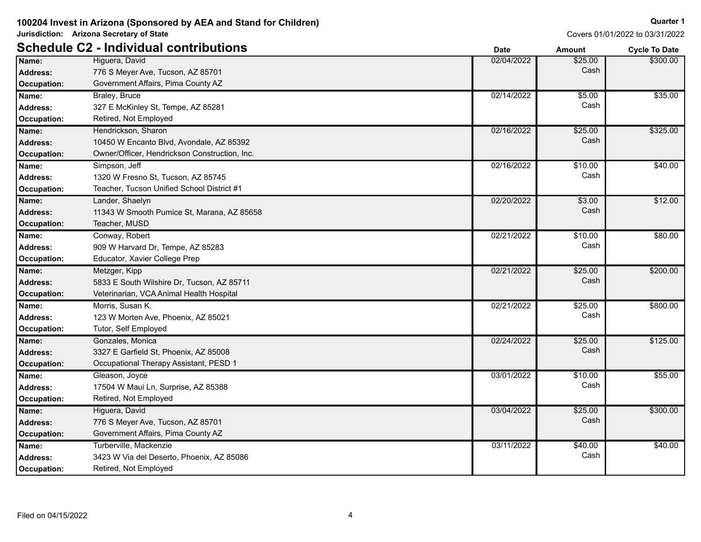Covers 01/01/2022 to 03/31/2022

|                    | <b>Schedule C2 - Individual contributions</b> | <b>Date</b> | <b>Amount</b> | <b>Cycle To Date</b> |
|--------------------|-----------------------------------------------|-------------|---------------|----------------------|
| Name:              | Higuera, David                                | 02/04/2022  | \$25.00       | \$300.00             |
| <b>Address:</b>    | 776 S Meyer Ave, Tucson, AZ 85701             |             | Cash          |                      |
| <b>Occupation:</b> | Government Affairs, Pima County AZ            |             |               |                      |
| Name:              | Braley, Bruce                                 | 02/14/2022  | \$5.00        | \$35.00              |
| <b>Address:</b>    | 327 E McKinley St, Tempe, AZ 85281            |             | Cash          |                      |
| Occupation:        | Retired, Not Employed                         |             |               |                      |
| Name:              | Hendrickson, Sharon                           | 02/16/2022  | \$25.00       | \$325.00             |
| Address:           | 10450 W Encanto Blvd, Avondale, AZ 85392      |             | Cash          |                      |
| Occupation:        | Owner/Officer, Hendrickson Construction, Inc. |             |               |                      |
| Name:              | Simpson, Jeff                                 | 02/16/2022  | \$10.00       | \$40.00              |
| <b>Address:</b>    | 1320 W Fresno St, Tucson, AZ 85745            |             | Cash          |                      |
| Occupation:        | Teacher, Tucson Unified School District #1    |             |               |                      |
| Name:              | Lander, Shaelyn                               | 02/20/2022  | \$3.00        | \$12.00              |
| Address:           | 11343 W Smooth Pumice St, Marana, AZ 85658    |             | Cash          |                      |
| Occupation:        | Teacher, MUSD                                 |             |               |                      |
| Name:              | Conway, Robert                                | 02/21/2022  | \$10.00       | \$80.00              |
| Address:           | 909 W Harvard Dr, Tempe, AZ 85283             |             | Cash          |                      |
| Occupation:        | Educator, Xavier College Prep                 |             |               |                      |
| Name:              | Metzger, Kipp                                 | 02/21/2022  | \$25.00       | \$200.00             |
| Address:           | 5833 E South Wilshire Dr, Tucson, AZ 85711    |             | Cash          |                      |
| Occupation:        | Veterinarian, VCA Animal Health Hospital      |             |               |                      |
| Name:              | Morris, Susan K.                              | 02/21/2022  | \$25.00       | \$800.00             |
| Address:           | 123 W Morten Ave, Phoenix, AZ 85021           |             | Cash          |                      |
| Occupation:        | Tutor, Self Employed                          |             |               |                      |
| Name:              | Gonzales, Monica                              | 02/24/2022  | \$25.00       | \$125.00             |
| Address:           | 3327 E Garfield St, Phoenix, AZ 85008         |             | Cash          |                      |
| <b>Occupation:</b> | Occupational Therapy Assistant, PESD 1        |             |               |                      |
| Name:              | Gleason, Joyce                                | 03/01/2022  | \$10.00       | \$55.00              |
| <b>Address:</b>    | 17504 W Maui Ln, Surprise, AZ 85388           |             | Cash          |                      |
| Occupation:        | Retired, Not Employed                         |             |               |                      |
| Name:              | Higuera, David                                | 03/04/2022  | \$25.00       | \$300.00             |
| Address:           | 776 S Meyer Ave, Tucson, AZ 85701             |             | Cash          |                      |
| <b>Occupation:</b> | Government Affairs, Pima County AZ            |             |               |                      |
| Name:              | Turberville, Mackenzie                        | 03/11/2022  | \$40.00       | \$40.00              |
| <b>Address:</b>    | 3423 W Via del Deserto, Phoenix, AZ 85086     |             | Cash          |                      |
| Occupation:        | Retired, Not Employed                         |             |               |                      |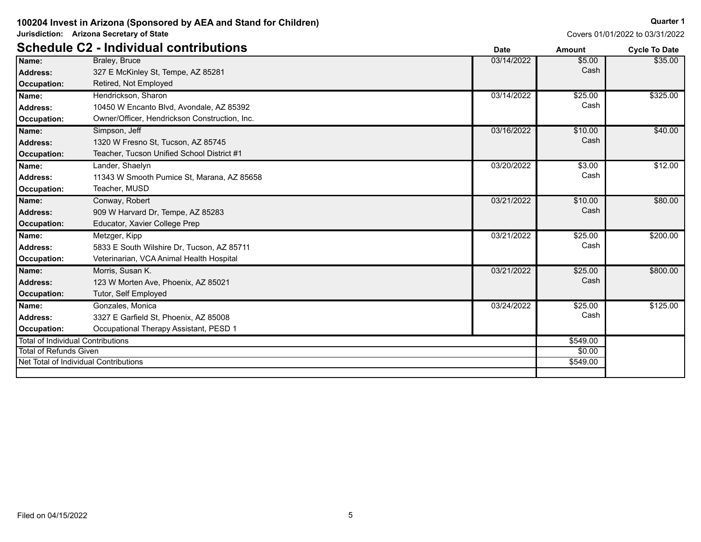Covers 01/01/2022 to 03/31/2022

|                                          | <b>Schedule C2 - Individual contributions</b> | <b>Date</b> | <b>Amount</b> | <b>Cycle To Date</b> |
|------------------------------------------|-----------------------------------------------|-------------|---------------|----------------------|
| Name:                                    | Braley, Bruce                                 | 03/14/2022  | \$5.00        | \$35.00              |
| <b>Address:</b>                          | 327 E McKinley St, Tempe, AZ 85281            |             | Cash          |                      |
| Occupation:                              | Retired, Not Employed                         |             |               |                      |
| Name:                                    | Hendrickson, Sharon                           | 03/14/2022  | \$25.00       | \$325.00             |
| Address:                                 | 10450 W Encanto Blvd, Avondale, AZ 85392      |             | Cash          |                      |
| Occupation:                              | Owner/Officer, Hendrickson Construction, Inc. |             |               |                      |
| Name:                                    | Simpson, Jeff                                 | 03/16/2022  | \$10.00       | \$40.00              |
| Address:                                 | 1320 W Fresno St, Tucson, AZ 85745            |             | Cash          |                      |
| Occupation:                              | Teacher, Tucson Unified School District #1    |             |               |                      |
| Name:                                    | Lander, Shaelyn                               | 03/20/2022  | \$3.00        | \$12.00              |
| <b>Address:</b>                          | 11343 W Smooth Pumice St, Marana, AZ 85658    |             | Cash          |                      |
| Occupation:                              | Teacher, MUSD                                 |             |               |                      |
| Name:                                    | Conway, Robert                                | 03/21/2022  | \$10.00       | \$80.00              |
| Address:                                 | 909 W Harvard Dr, Tempe, AZ 85283             |             | Cash          |                      |
| Occupation:                              | Educator, Xavier College Prep                 |             |               |                      |
| Name:                                    | Metzger, Kipp                                 | 03/21/2022  | \$25.00       | \$200.00             |
| Address:                                 | 5833 E South Wilshire Dr, Tucson, AZ 85711    |             | Cash          |                      |
| Occupation:                              | Veterinarian, VCA Animal Health Hospital      |             |               |                      |
| Name:                                    | Morris, Susan K.                              | 03/21/2022  | \$25.00       | \$800.00             |
| Address:                                 | 123 W Morten Ave, Phoenix, AZ 85021           |             | Cash          |                      |
| Occupation:                              | Tutor, Self Employed                          |             |               |                      |
| Name:                                    | Gonzales, Monica                              | 03/24/2022  | \$25.00       | \$125.00             |
| Address:                                 | 3327 E Garfield St, Phoenix, AZ 85008         |             | Cash          |                      |
| Occupation:                              | Occupational Therapy Assistant, PESD 1        |             |               |                      |
| <b>Total of Individual Contributions</b> |                                               |             | \$549.00      |                      |
| <b>Total of Refunds Given</b>            |                                               |             | \$0.00        |                      |
|                                          | Net Total of Individual Contributions         |             | \$549.00      |                      |
|                                          |                                               |             |               |                      |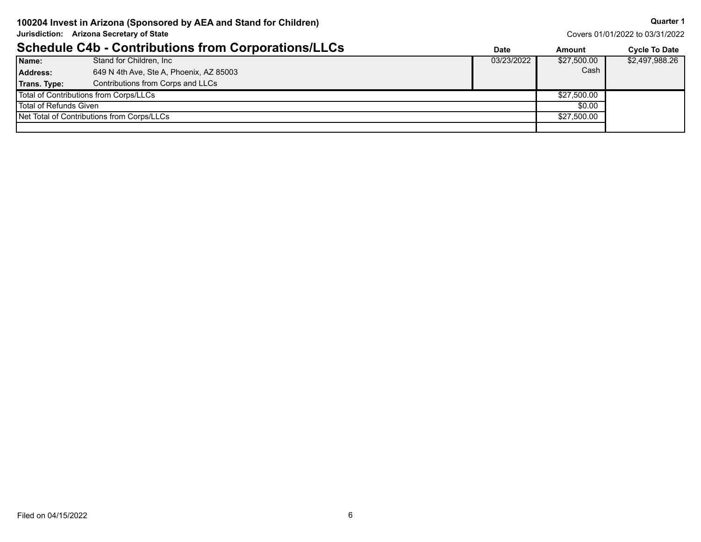Covers 01/01/2022 to 03/31/2022

|                        | <b>Schedule C4b - Contributions from Corporations/LLCs</b> | <b>Date</b> | Amount      | <b>Cycle To Date</b> |
|------------------------|------------------------------------------------------------|-------------|-------------|----------------------|
| Name:                  | Stand for Children, Inc.                                   | 03/23/2022  | \$27,500.00 | \$2,497,988.26       |
| <b>Address:</b>        | 649 N 4th Ave, Ste A, Phoenix, AZ 85003                    |             | Cash        |                      |
| <b>Trans. Type:</b>    | Contributions from Corps and LLCs                          |             |             |                      |
|                        | Total of Contributions from Corps/LLCs                     |             | \$27,500.00 |                      |
| Total of Refunds Given |                                                            |             | \$0.00      |                      |
|                        | Net Total of Contributions from Corps/LLCs                 |             | \$27,500.00 |                      |
|                        |                                                            |             |             |                      |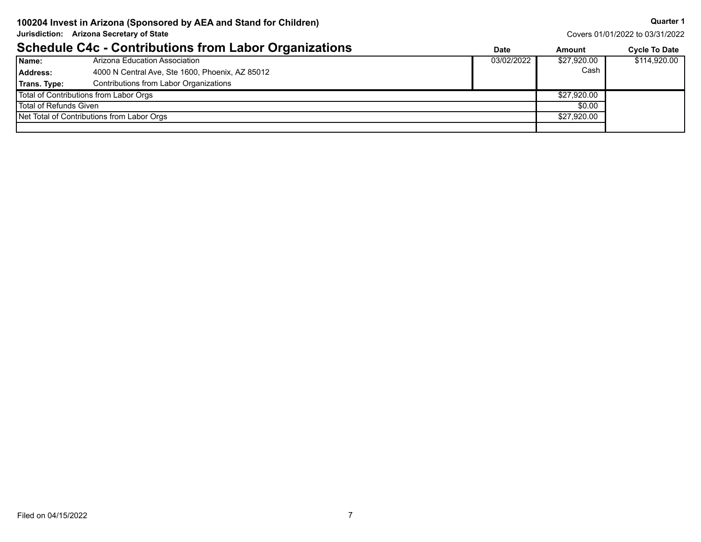Covers 01/01/2022 to 03/31/2022

|                        | <b>Schedule C4c - Contributions from Labor Organizations</b> | Date       | Amount      | <b>Cycle To Date</b> |
|------------------------|--------------------------------------------------------------|------------|-------------|----------------------|
| Name:                  | Arizona Education Association                                | 03/02/2022 | \$27,920.00 | \$114,920.00         |
| <b>Address:</b>        | 4000 N Central Ave, Ste 1600, Phoenix, AZ 85012              |            | Cash        |                      |
| Trans. Type:           | Contributions from Labor Organizations                       |            |             |                      |
|                        | Total of Contributions from Labor Orgs                       |            | \$27,920.00 |                      |
| Total of Refunds Given |                                                              |            | \$0.00      |                      |
|                        | Net Total of Contributions from Labor Orgs                   |            | \$27,920.00 |                      |
|                        |                                                              |            |             |                      |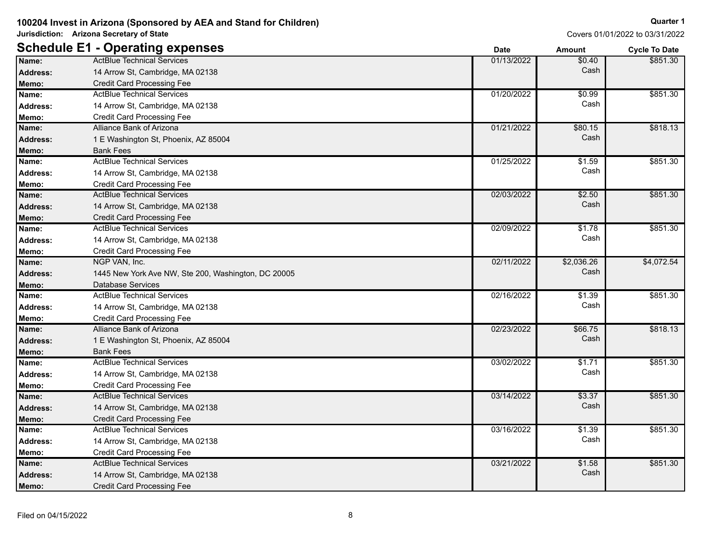| Covers 01/01/2022 to 03/31/2022 |  |
|---------------------------------|--|

|                 | <b>Schedule E1 - Operating expenses</b>             | <b>Date</b> | <b>Amount</b> | <b>Cycle To Date</b> |
|-----------------|-----------------------------------------------------|-------------|---------------|----------------------|
| Name:           | <b>ActBlue Technical Services</b>                   | 01/13/2022  | \$0.40        | \$851.30             |
| <b>Address:</b> | 14 Arrow St, Cambridge, MA 02138                    |             | Cash          |                      |
| Memo:           | <b>Credit Card Processing Fee</b>                   |             |               |                      |
| Name:           | <b>ActBlue Technical Services</b>                   | 01/20/2022  | \$0.99        | \$851.30             |
| <b>Address:</b> | 14 Arrow St, Cambridge, MA 02138                    |             | Cash          |                      |
| Memo:           | <b>Credit Card Processing Fee</b>                   |             |               |                      |
| Name:           | Alliance Bank of Arizona                            | 01/21/2022  | \$80.15       | \$818.13             |
| <b>Address:</b> | 1 E Washington St, Phoenix, AZ 85004                |             | Cash          |                      |
| Memo:           | <b>Bank Fees</b>                                    |             |               |                      |
| Name:           | <b>ActBlue Technical Services</b>                   | 01/25/2022  | \$1.59        | \$851.30             |
| <b>Address:</b> | 14 Arrow St, Cambridge, MA 02138                    |             | Cash          |                      |
| Memo:           | <b>Credit Card Processing Fee</b>                   |             |               |                      |
| Name:           | <b>ActBlue Technical Services</b>                   | 02/03/2022  | \$2.50        | \$851.30             |
| <b>Address:</b> | 14 Arrow St, Cambridge, MA 02138                    |             | Cash          |                      |
| Memo:           | <b>Credit Card Processing Fee</b>                   |             |               |                      |
| Name:           | <b>ActBlue Technical Services</b>                   | 02/09/2022  | \$1.78        | \$851.30             |
| <b>Address:</b> | 14 Arrow St, Cambridge, MA 02138                    |             | Cash          |                      |
| Memo:           | <b>Credit Card Processing Fee</b>                   |             |               |                      |
| Name:           | NGP VAN, Inc.                                       | 02/11/2022  | \$2,036.26    | \$4,072.54           |
| Address:        | 1445 New York Ave NW, Ste 200, Washington, DC 20005 |             | Cash          |                      |
| Memo:           | <b>Database Services</b>                            |             |               |                      |
| Name:           | <b>ActBlue Technical Services</b>                   | 02/16/2022  | \$1.39        | \$851.30             |
| <b>Address:</b> | 14 Arrow St, Cambridge, MA 02138                    |             | Cash          |                      |
| Memo:           | <b>Credit Card Processing Fee</b>                   |             |               |                      |
| Name:           | Alliance Bank of Arizona                            | 02/23/2022  | \$66.75       | \$818.13             |
| <b>Address:</b> | 1 E Washington St, Phoenix, AZ 85004                |             | Cash          |                      |
| Memo:           | <b>Bank Fees</b>                                    |             |               |                      |
| Name:           | <b>ActBlue Technical Services</b>                   | 03/02/2022  | \$1.71        | \$851.30             |
| <b>Address:</b> | 14 Arrow St, Cambridge, MA 02138                    |             | Cash          |                      |
| Memo:           | <b>Credit Card Processing Fee</b>                   |             |               |                      |
| Name:           | <b>ActBlue Technical Services</b>                   | 03/14/2022  | \$3.37        | \$851.30             |
| <b>Address:</b> | 14 Arrow St, Cambridge, MA 02138                    |             | Cash          |                      |
| Memo:           | <b>Credit Card Processing Fee</b>                   |             |               |                      |
| Name:           | <b>ActBlue Technical Services</b>                   | 03/16/2022  | \$1.39        | \$851.30             |
| Address:        | 14 Arrow St, Cambridge, MA 02138                    |             | Cash          |                      |
| Memo:           | <b>Credit Card Processing Fee</b>                   |             |               |                      |
| Name:           | <b>ActBlue Technical Services</b>                   | 03/21/2022  | \$1.58        | \$851.30             |
| <b>Address:</b> | 14 Arrow St, Cambridge, MA 02138                    |             | Cash          |                      |
| Memo:           | <b>Credit Card Processing Fee</b>                   |             |               |                      |